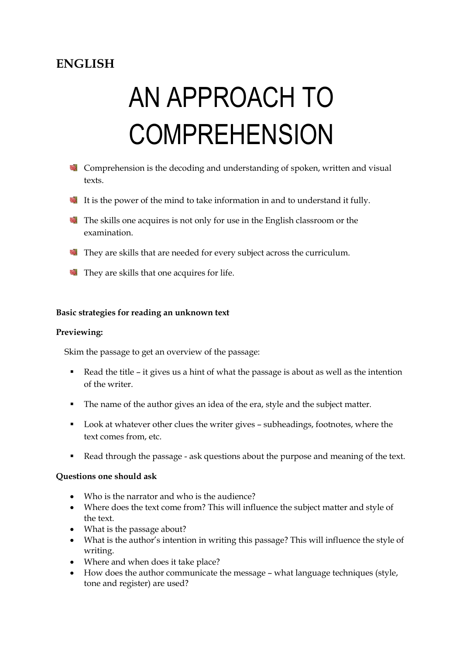# **ENGLISH**

# AN APPROACH TO **COMPREHENSION**

- **Comprehension is the decoding and understanding of spoken, written and visual** texts.
- It is the power of the mind to take information in and to understand it fully.
- The skills one acquires is not only for use in the English classroom or the examination.
- They are skills that are needed for every subject across the curriculum.
- They are skills that one acquires for life.

## **Basic strategies for reading an unknown text**

#### **Previewing:**

Skim the passage to get an overview of the passage:

- Read the title it gives us a hint of what the passage is about as well as the intention of the writer.
- The name of the author gives an idea of the era, style and the subject matter.
- Look at whatever other clues the writer gives subheadings, footnotes, where the text comes from, etc.
- Read through the passage ask questions about the purpose and meaning of the text.

#### **Questions one should ask**

- Who is the narrator and who is the audience?
- Where does the text come from? This will influence the subject matter and style of the text.
- What is the passage about?
- What is the author's intention in writing this passage? This will influence the style of writing.
- Where and when does it take place?
- How does the author communicate the message what language techniques (style, tone and register) are used?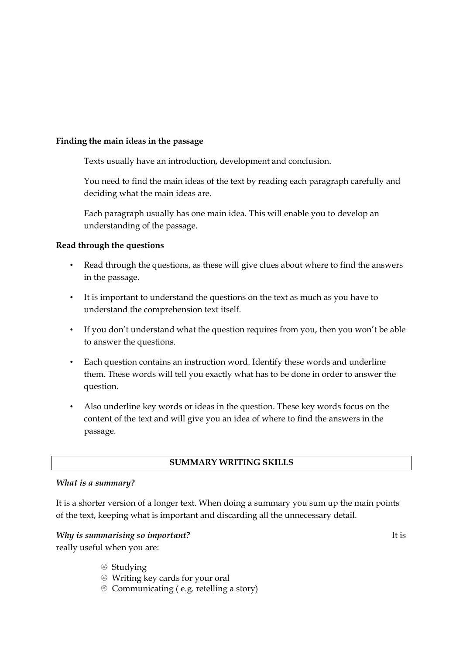#### **Finding the main ideas in the passage**

Texts usually have an introduction, development and conclusion.

You need to find the main ideas of the text by reading each paragraph carefully and deciding what the main ideas are.

Each paragraph usually has one main idea. This will enable you to develop an understanding of the passage.

#### **Read through the questions**

- Read through the questions, as these will give clues about where to find the answers in the passage.
- It is important to understand the questions on the text as much as you have to understand the comprehension text itself.
- If you don't understand what the question requires from you, then you won't be able to answer the questions.
- Each question contains an instruction word. Identify these words and underline them. These words will tell you exactly what has to be done in order to answer the question.
- Also underline key words or ideas in the question. These key words focus on the content of the text and will give you an idea of where to find the answers in the passage.

#### **SUMMARY WRITING SKILLS**

#### *What is a summary?*

It is a shorter version of a longer text. When doing a summary you sum up the main points of the text, keeping what is important and discarding all the unnecessary detail.

## *Why is summarising so important?* It is really useful when you are:

- <sup>
®</sup> Studying
- Writing key cards for your oral
- Communicating ( e.g. retelling a story)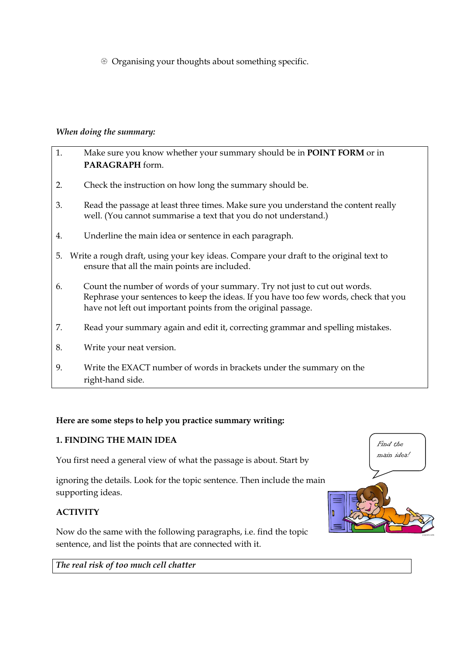Organising your thoughts about something specific.

# *When doing the summary:*

| 1. | Make sure you know whether your summary should be in <b>POINT FORM</b> or in<br>PARAGRAPH form.                                                                                                                                    |
|----|------------------------------------------------------------------------------------------------------------------------------------------------------------------------------------------------------------------------------------|
| 2. | Check the instruction on how long the summary should be.                                                                                                                                                                           |
| 3. | Read the passage at least three times. Make sure you understand the content really<br>well. (You cannot summarise a text that you do not understand.)                                                                              |
| 4. | Underline the main idea or sentence in each paragraph.                                                                                                                                                                             |
| 5. | Write a rough draft, using your key ideas. Compare your draft to the original text to<br>ensure that all the main points are included.                                                                                             |
| 6. | Count the number of words of your summary. Try not just to cut out words.<br>Rephrase your sentences to keep the ideas. If you have too few words, check that you<br>have not left out important points from the original passage. |
| 7. | Read your summary again and edit it, correcting grammar and spelling mistakes.                                                                                                                                                     |
| 8. | Write your neat version.                                                                                                                                                                                                           |
| 9. | Write the EXACT number of words in brackets under the summary on the<br>right-hand side.                                                                                                                                           |

# **Here are some steps to help you practice summary writing:**

# **1. FINDING THE MAIN IDEA**

You first need a general view of what the passage is about. Start by

ignoring the details. Look for the topic sentence. Then include the main supporting ideas.

# **ACTIVITY**

Now do the same with the following paragraphs, i.e. find the topic sentence, and list the points that are connected with it.



*The real risk of too much cell chatter*